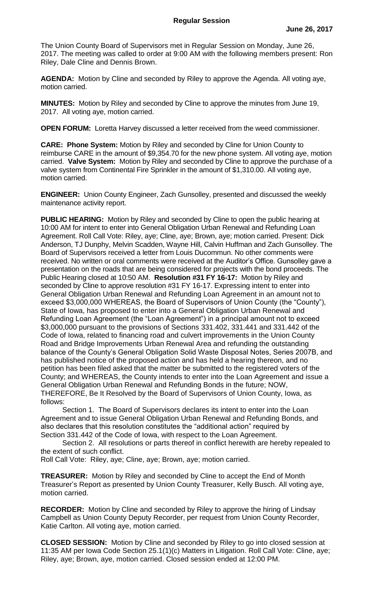The Union County Board of Supervisors met in Regular Session on Monday, June 26, 2017. The meeting was called to order at 9:00 AM with the following members present: Ron Riley, Dale Cline and Dennis Brown.

**AGENDA:** Motion by Cline and seconded by Riley to approve the Agenda. All voting aye, motion carried.

**MINUTES:** Motion by Riley and seconded by Cline to approve the minutes from June 19, 2017. All voting aye, motion carried.

**OPEN FORUM:** Loretta Harvey discussed a letter received from the weed commissioner.

**CARE: Phone System:** Motion by Riley and seconded by Cline for Union County to reimburse CARE in the amount of \$9,354.70 for the new phone system. All voting aye, motion carried. **Valve System:** Motion by Riley and seconded by Cline to approve the purchase of a valve system from Continental Fire Sprinkler in the amount of \$1,310.00. All voting aye, motion carried.

**ENGINEER:** Union County Engineer, Zach Gunsolley, presented and discussed the weekly maintenance activity report.

**PUBLIC HEARING:** Motion by Riley and seconded by Cline to open the public hearing at 10:00 AM for intent to enter into General Obligation Urban Renewal and Refunding Loan Agreement. Roll Call Vote: Riley, aye; Cline, aye; Brown, aye; motion carried. Present: Dick Anderson, TJ Dunphy, Melvin Scadden, Wayne Hill, Calvin Huffman and Zach Gunsolley. The Board of Supervisors received a letter from Louis Ducommun. No other comments were received. No written or oral comments were received at the Auditor's Office. Gunsolley gave a presentation on the roads that are being considered for projects with the bond proceeds. The Public Hearing closed at 10:50 AM. **Resolution #31 FY 16-17:** Motion by Riley and seconded by Cline to approve resolution #31 FY 16-17. Expressing intent to enter into General Obligation Urban Renewal and Refunding Loan Agreement in an amount not to exceed \$3,000,000 WHEREAS, the Board of Supervisors of Union County (the "County"), State of Iowa, has proposed to enter into a General Obligation Urban Renewal and Refunding Loan Agreement (the "Loan Agreement") in a principal amount not to exceed \$3,000,000 pursuant to the provisions of Sections 331.402, 331.441 and 331.442 of the Code of Iowa, related to financing road and culvert improvements in the Union County Road and Bridge Improvements Urban Renewal Area and refunding the outstanding balance of the County's General Obligation Solid Waste Disposal Notes, Series 2007B, and has published notice of the proposed action and has held a hearing thereon, and no petition has been filed asked that the matter be submitted to the registered voters of the County; and WHEREAS, the County intends to enter into the Loan Agreement and issue a General Obligation Urban Renewal and Refunding Bonds in the future; NOW, THEREFORE, Be It Resolved by the Board of Supervisors of Union County, Iowa, as follows:

Section 1. The Board of Supervisors declares its intent to enter into the Loan Agreement and to issue General Obligation Urban Renewal and Refunding Bonds, and also declares that this resolution constitutes the "additional action" required by Section 331.442 of the Code of Iowa, with respect to the Loan Agreement.

Section 2. All resolutions or parts thereof in conflict herewith are hereby repealed to the extent of such conflict.

Roll Call Vote: Riley, aye; Cline, aye; Brown, aye; motion carried.

**TREASURER:** Motion by Riley and seconded by Cline to accept the End of Month Treasurer's Report as presented by Union County Treasurer, Kelly Busch. All voting aye, motion carried.

**RECORDER:** Motion by Cline and seconded by Riley to approve the hiring of Lindsay Campbell as Union County Deputy Recorder, per request from Union County Recorder, Katie Carlton. All voting aye, motion carried.

**CLOSED SESSION:** Motion by Cline and seconded by Riley to go into closed session at 11:35 AM per Iowa Code Section 25.1(1)(c) Matters in Litigation. Roll Call Vote: Cline, aye; Riley, aye; Brown, aye, motion carried. Closed session ended at 12:00 PM.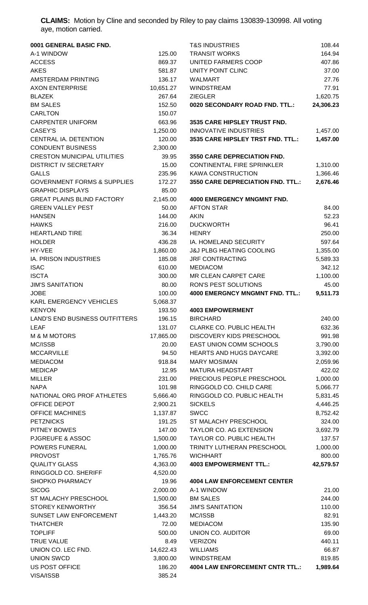**CLAIMS:** Motion by Cline and seconded by Riley to pay claims 130839-130998. All voting aye, motion carried.

| 0001 GENERAL BASIC FND.                |           | <b>T&amp;S INDUSTRIES</b>              |
|----------------------------------------|-----------|----------------------------------------|
| A-1 WINDOW                             | 125.00    | <b>TRANSIT WORKS</b>                   |
| <b>ACCESS</b>                          | 869.37    | <b>UNITED FARMERS COOP</b>             |
| <b>AKES</b>                            | 581.87    | UNITY POINT CLINC                      |
| AMSTERDAM PRINTING                     | 136.17    | <b>WALMART</b>                         |
| <b>AXON ENTERPRISE</b>                 | 10,651.27 | <b>WINDSTREAM</b>                      |
| <b>BLAZEK</b>                          | 267.64    | <b>ZIEGLER</b>                         |
| <b>BM SALES</b>                        | 152.50    | 0020 SECONDARY ROAD FND. TTL.          |
| <b>CARLTON</b>                         | 150.07    |                                        |
| <b>CARPENTER UNIFORM</b>               | 663.96    | <b>3535 CARE HIPSLEY TRUST FND.</b>    |
| CASEY'S                                | 1,250.00  | <b>INNOVATIVE INDUSTRIES</b>           |
| CENTRAL IA. DETENTION                  | 120.00    | <b>3535 CARE HIPSLEY TRST FND. TTI</b> |
| <b>CONDUENT BUSINESS</b>               | 2,300.00  |                                        |
|                                        |           |                                        |
| <b>CRESTON MUNICIPAL UTILITIES</b>     | 39.95     | <b>3550 CARE DEPRECIATION FND.</b>     |
| <b>DISTRICT IV SECRETARY</b>           | 15.00     | <b>CONTINENTAL FIRE SPRINKLER</b>      |
| <b>GALLS</b>                           | 235.96    | <b>KAWA CONSTRUCTION</b>               |
| <b>GOVERNMENT FORMS &amp; SUPPLIES</b> | 172.27    | <b>3550 CARE DEPRECIATION FND. TT</b>  |
| <b>GRAPHIC DISPLAYS</b>                | 85.00     |                                        |
| <b>GREAT PLAINS BLIND FACTORY</b>      | 2,145.00  | <b>4000 EMERGENCY MNGMNT FND.</b>      |
| <b>GREEN VALLEY PEST</b>               | 50.00     | <b>AFTON STAR</b>                      |
| <b>HANSEN</b>                          | 144.00    | <b>AKIN</b>                            |
| <b>HAWKS</b>                           | 216.00    | <b>DUCKWORTH</b>                       |
| <b>HEARTLAND TIRE</b>                  | 36.34     | <b>HENRY</b>                           |
| <b>HOLDER</b>                          | 436.28    | IA. HOMELAND SECURITY                  |
| HY-VEE                                 | 1,860.00  | <b>J&amp;J PLBG HEATING COOLING</b>    |
| <b>IA. PRISON INDUSTRIES</b>           | 185.08    | <b>JRF CONTRACTING</b>                 |
| <b>ISAC</b>                            | 610.00    | <b>MEDIACOM</b>                        |
| <b>ISCTA</b>                           | 300.00    | <b>MR CLEAN CARPET CARE</b>            |
| <b>JIM'S SANITATION</b>                | 80.00     | <b>RON'S PEST SOLUTIONS</b>            |
| <b>JOBE</b>                            | 100.00    | <b>4000 EMERGNCY MNGMNT FND. TT</b>    |
| <b>KARL EMERGENCY VEHICLES</b>         | 5,068.37  |                                        |
| <b>KENYON</b>                          | 193.50    | <b>4003 EMPOWERMENT</b>                |
| LAND'S END BUSINESS OUTFITTERS         | 196.15    | <b>BIRCHARD</b>                        |
| <b>LEAF</b>                            | 131.07    | <b>CLARKE CO. PUBLIC HEALTH</b>        |
| <b>M &amp; M MOTORS</b>                | 17,865.00 | DISCOVERY KIDS PRESCHOOL               |
| MC/ISSB                                | 20.00     | EAST UNION COMM SCHOOLS                |
| <b>MCCARVILLE</b>                      | 94.50     | <b>HEARTS AND HUGS DAYCARE</b>         |
| <b>MEDIACOM</b>                        | 918.84    | <b>MARY MOSIMAN</b>                    |
| <b>MEDICAP</b>                         | 12.95     | <b>MATURA HEADSTART</b>                |
|                                        |           |                                        |
| <b>MILLER</b>                          | 231.00    | PRECIOUS PEOPLE PRESCHOOL              |
| <b>NAPA</b>                            | 101.98    | RINGGOLD CO. CHILD CARE                |
| NATIONAL ORG PROF ATHLETES             | 5,666.40  | RINGGOLD CO. PUBLIC HEALTH             |
| OFFICE DEPOT                           | 2,900.21  | <b>SICKELS</b>                         |
| <b>OFFICE MACHINES</b>                 | 1,137.87  | <b>SWCC</b>                            |
| <b>PETZNICKS</b>                       | 191.25    | <b>ST MALACHY PRESCHOOL</b>            |
| PITNEY BOWES                           | 147.00    | <b>TAYLOR CO. AG EXTENSION</b>         |
| <b>PJGREUFE &amp; ASSOC</b>            | 1,500.00  | TAYLOR CO. PUBLIC HEALTH               |
| <b>POWERS FUNERAL</b>                  | 1,000.00  | TRINITY LUTHERAN PRESCHOOL             |
| <b>PROVOST</b>                         | 1,765.76  | <b>WICHHART</b>                        |
| <b>QUALITY GLASS</b>                   | 4,363.00  | <b>4003 EMPOWERMENT TTL.:</b>          |
| RINGGOLD CO. SHERIFF                   | 4,520.00  |                                        |
| <b>SHOPKO PHARMACY</b>                 | 19.96     | <b>4004 LAW ENFORCEMENT CENTER</b>     |
| <b>SICOG</b>                           | 2,000.00  | A-1 WINDOW                             |
| ST MALACHY PRESCHOOL                   | 1,500.00  | <b>BM SALES</b>                        |
| <b>STOREY KENWORTHY</b>                | 356.54    | <b>JIM'S SANITATION</b>                |
| SUNSET LAW ENFORCEMENT                 | 1,443.20  | MC/ISSB                                |
| <b>THATCHER</b>                        | 72.00     | <b>MEDIACOM</b>                        |
| <b>TOPLIFF</b>                         | 500.00    | <b>UNION CO. AUDITOR</b>               |
| <b>TRUE VALUE</b>                      | 8.49      | <b>VERIZON</b>                         |
| UNION CO. LEC FND.                     | 14,622.43 | <b>WILLIAMS</b>                        |
| <b>UNION SWCD</b>                      | 3,800.00  | <b>WINDSTREAM</b>                      |
| <b>US POST OFFICE</b>                  | 186.20    | <b>4004 LAW ENFORCEMENT CNTR TT</b>    |
| VISA/ISSB                              | 385.24    |                                        |
|                                        |           |                                        |

| 0001 GENERAL BASIC FND.                                            |                | <b>T&amp;S INDUSTRIES</b>                                        | 108.44               |
|--------------------------------------------------------------------|----------------|------------------------------------------------------------------|----------------------|
| A-1 WINDOW                                                         | 125.00         | <b>TRANSIT WORKS</b>                                             | 164.94               |
| ACCESS                                                             | 869.37         | UNITED FARMERS COOP                                              | 407.86               |
| AKES                                                               | 581.87         | UNITY POINT CLINC                                                | 37.00                |
| AMSTERDAM PRINTING                                                 | 136.17         | <b>WALMART</b>                                                   | 27.76                |
| <b>AXON ENTERPRISE</b>                                             | 10,651.27      | <b>WINDSTREAM</b>                                                | 77.91                |
| <b>BLAZEK</b>                                                      | 267.64         | <b>ZIEGLER</b>                                                   | 1,620.75             |
| <b>BM SALES</b>                                                    | 152.50         | 0020 SECONDARY ROAD FND. TTL.:                                   | 24,306.23            |
| <b>CARLTON</b>                                                     | 150.07         |                                                                  |                      |
| CARPENTER UNIFORM                                                  | 663.96         | 3535 CARE HIPSLEY TRUST FND.                                     |                      |
| CASEY'S                                                            | 1,250.00       | <b>INNOVATIVE INDUSTRIES</b>                                     | 1,457.00             |
| CENTRAL IA. DETENTION                                              | 120.00         | 3535 CARE HIPSLEY TRST FND. TTL.:                                | 1,457.00             |
| CONDUENT BUSINESS                                                  | 2,300.00       |                                                                  |                      |
| <b>CRESTON MUNICIPAL UTILITIES</b><br><b>DISTRICT IV SECRETARY</b> | 39.95<br>15.00 | 3550 CARE DEPRECIATION FND.<br><b>CONTINENTAL FIRE SPRINKLER</b> |                      |
| <b>GALLS</b>                                                       | 235.96         | <b>KAWA CONSTRUCTION</b>                                         | 1,310.00<br>1,366.46 |
| <b>GOVERNMENT FORMS &amp; SUPPLIES</b>                             | 172.27         | 3550 CARE DEPRECIATION FND. TTL.:                                | 2,676.46             |
| <b>GRAPHIC DISPLAYS</b>                                            | 85.00          |                                                                  |                      |
| <b>GREAT PLAINS BLIND FACTORY</b>                                  | 2,145.00       | <b>4000 EMERGENCY MNGMNT FND.</b>                                |                      |
| <b>GREEN VALLEY PEST</b>                                           | 50.00          | <b>AFTON STAR</b>                                                | 84.00                |
| <b>HANSEN</b>                                                      | 144.00         | <b>AKIN</b>                                                      | 52.23                |
| <b>HAWKS</b>                                                       | 216.00         | <b>DUCKWORTH</b>                                                 | 96.41                |
| <b>HEARTLAND TIRE</b>                                              | 36.34          | <b>HENRY</b>                                                     | 250.00               |
| HOLDER                                                             | 436.28         | IA. HOMELAND SECURITY                                            | 597.64               |
| HY-VEE                                                             | 1,860.00       | <b>J&amp;J PLBG HEATING COOLING</b>                              | 1,355.00             |
| IA. PRISON INDUSTRIES                                              | 185.08         | <b>JRF CONTRACTING</b>                                           | 5,589.33             |
| <b>ISAC</b>                                                        | 610.00         | <b>MEDIACOM</b>                                                  | 342.12               |
| <b>ISCTA</b>                                                       | 300.00         | MR CLEAN CARPET CARE                                             | 1,100.00             |
| <b>JIM'S SANITATION</b>                                            | 80.00          | RON'S PEST SOLUTIONS                                             | 45.00                |
| JOBE                                                               | 100.00         | 4000 EMERGNCY MNGMNT FND. TTL.:                                  | 9,511.73             |
| KARL EMERGENCY VEHICLES                                            | 5,068.37       |                                                                  |                      |
| KENYON                                                             | 193.50         | <b>4003 EMPOWERMENT</b>                                          |                      |
| LAND'S END BUSINESS OUTFITTERS                                     | 196.15         | <b>BIRCHARD</b>                                                  | 240.00               |
| LEAF                                                               | 131.07         | CLARKE CO. PUBLIC HEALTH                                         | 632.36               |
| <b>M &amp; M MOTORS</b>                                            | 17,865.00      | DISCOVERY KIDS PRESCHOOL                                         | 991.98               |
| MC/ISSB                                                            | 20.00          | EAST UNION COMM SCHOOLS                                          | 3,790.00             |
| <b>MCCARVILLE</b>                                                  | 94.50          | HEARTS AND HUGS DAYCARE                                          | 3,392.00             |
| <b>MEDIACOM</b>                                                    | 918.84         | <b>MARY MOSIMAN</b>                                              | 2,059.96             |
| <b>MEDICAP</b>                                                     | 12.95          | <b>MATURA HEADSTART</b>                                          | 422.02               |
| MILLER                                                             | 231.00         | PRECIOUS PEOPLE PRESCHOOL                                        | 1,000.00             |
| NAPA                                                               | 101.98         | RINGGOLD CO. CHILD CARE                                          | 5,066.77             |
| NATIONAL ORG PROF ATHLETES                                         | 5,666.40       | RINGGOLD CO. PUBLIC HEALTH                                       | 5,831.45             |
| OFFICE DEPOT                                                       | 2,900.21       | <b>SICKELS</b>                                                   | 4,446.25             |
| OFFICE MACHINES                                                    | 1,137.87       | <b>SWCC</b>                                                      | 8,752.42             |
| <b>PETZNICKS</b>                                                   | 191.25         | ST MALACHY PRESCHOOL                                             | 324.00               |
| PITNEY BOWES                                                       | 147.00         | TAYLOR CO. AG EXTENSION                                          | 3,692.79             |
| <b>PJGREUFE &amp; ASSOC</b>                                        | 1,500.00       | TAYLOR CO. PUBLIC HEALTH                                         | 137.57               |
| POWERS FUNERAL                                                     | 1,000.00       | TRINITY LUTHERAN PRESCHOOL                                       | 1,000.00             |
| <b>PROVOST</b>                                                     | 1,765.76       | <b>WICHHART</b>                                                  | 800.00               |
| <b>QUALITY GLASS</b>                                               | 4,363.00       | <b>4003 EMPOWERMENT TTL.:</b>                                    | 42,579.57            |
| RINGGOLD CO. SHERIFF                                               | 4,520.00       |                                                                  |                      |
| SHOPKO PHARMACY                                                    | 19.96          | <b>4004 LAW ENFORCEMENT CENTER</b>                               |                      |
| SICOG                                                              | 2,000.00       | A-1 WINDOW                                                       | 21.00                |
| ST MALACHY PRESCHOOL<br><b>STOREY KENWORTHY</b>                    | 1,500.00       | <b>BM SALES</b><br><b>JIM'S SANITATION</b>                       | 244.00<br>110.00     |
| SUNSET LAW ENFORCEMENT                                             | 356.54         |                                                                  |                      |
|                                                                    | 1,443.20       | MC/ISSB                                                          | 82.91                |
| THATCHER                                                           | 72.00          | <b>MEDIACOM</b>                                                  | 135.90               |
| <b>TOPLIFF</b><br>TRUE VALUE                                       | 500.00<br>8.49 | <b>UNION CO. AUDITOR</b>                                         | 69.00<br>440.11      |
| UNION CO. LEC FND.                                                 | 14,622.43      | <b>VERIZON</b><br><b>WILLIAMS</b>                                | 66.87                |
| <b>UNION SWCD</b>                                                  | 3,800.00       | <b>WINDSTREAM</b>                                                | 819.85               |
| US POST OFFICE                                                     | 186.20         | <b>4004 LAW ENFORCEMENT CNTR TTL.:</b>                           | 1,989.64             |
|                                                                    |                |                                                                  |                      |